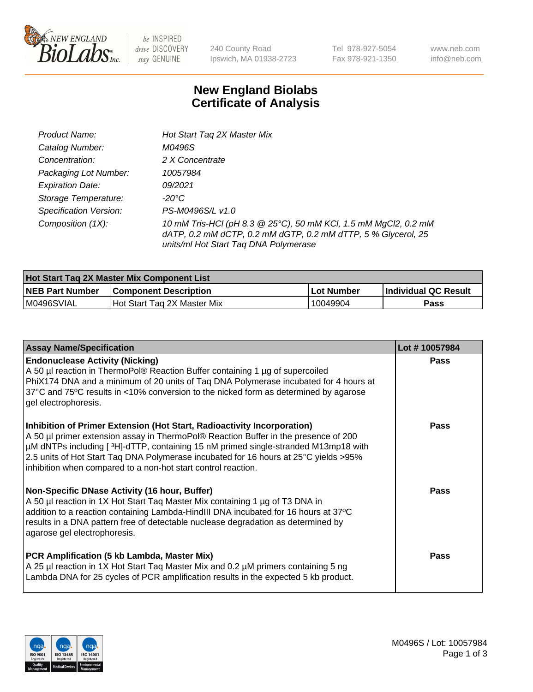

 $be$  INSPIRED drive DISCOVERY stay GENUINE

240 County Road Ipswich, MA 01938-2723 Tel 978-927-5054 Fax 978-921-1350 www.neb.com info@neb.com

## **New England Biolabs Certificate of Analysis**

| Product Name:                 | Hot Start Tag 2X Master Mix                                                                                                                                               |
|-------------------------------|---------------------------------------------------------------------------------------------------------------------------------------------------------------------------|
| Catalog Number:               | M0496S                                                                                                                                                                    |
| Concentration:                | 2 X Concentrate                                                                                                                                                           |
| Packaging Lot Number:         | 10057984                                                                                                                                                                  |
| <b>Expiration Date:</b>       | 09/2021                                                                                                                                                                   |
| Storage Temperature:          | -20°C                                                                                                                                                                     |
| <b>Specification Version:</b> | PS-M0496S/L v1.0                                                                                                                                                          |
| Composition (1X):             | 10 mM Tris-HCl (pH 8.3 @ 25°C), 50 mM KCl, 1.5 mM MgCl2, 0.2 mM<br>dATP, 0.2 mM dCTP, 0.2 mM dGTP, 0.2 mM dTTP, 5 % Glycerol, 25<br>units/ml Hot Start Taq DNA Polymerase |

| <b>Hot Start Tag 2X Master Mix Component List</b> |                             |            |                             |  |
|---------------------------------------------------|-----------------------------|------------|-----------------------------|--|
| <b>NEB Part Number</b>                            | l Component Description     | Lot Number | <b>Individual QC Result</b> |  |
| M0496SVIAL                                        | Hot Start Tag 2X Master Mix | 10049904   | Pass                        |  |

| <b>Assay Name/Specification</b>                                                                                                                                                                                                                                                                                                                                                                               | Lot #10057984 |
|---------------------------------------------------------------------------------------------------------------------------------------------------------------------------------------------------------------------------------------------------------------------------------------------------------------------------------------------------------------------------------------------------------------|---------------|
| <b>Endonuclease Activity (Nicking)</b><br>A 50 µl reaction in ThermoPol® Reaction Buffer containing 1 µg of supercoiled<br>PhiX174 DNA and a minimum of 20 units of Taq DNA Polymerase incubated for 4 hours at<br>37°C and 75°C results in <10% conversion to the nicked form as determined by agarose<br>gel electrophoresis.                                                                               | Pass          |
| Inhibition of Primer Extension (Hot Start, Radioactivity Incorporation)<br>A 50 µl primer extension assay in ThermoPol® Reaction Buffer in the presence of 200<br>µM dNTPs including [3H]-dTTP, containing 15 nM primed single-stranded M13mp18 with<br>2.5 units of Hot Start Taq DNA Polymerase incubated for 16 hours at 25°C yields >95%<br>inhibition when compared to a non-hot start control reaction. | Pass          |
| Non-Specific DNase Activity (16 hour, Buffer)<br>A 50 µl reaction in 1X Hot Start Taq Master Mix containing 1 µg of T3 DNA in<br>addition to a reaction containing Lambda-HindIII DNA incubated for 16 hours at 37°C<br>results in a DNA pattern free of detectable nuclease degradation as determined by<br>agarose gel electrophoresis.                                                                     | Pass          |
| PCR Amplification (5 kb Lambda, Master Mix)<br>A 25 µl reaction in 1X Hot Start Tag Master Mix and 0.2 µM primers containing 5 ng<br>Lambda DNA for 25 cycles of PCR amplification results in the expected 5 kb product.                                                                                                                                                                                      | Pass          |

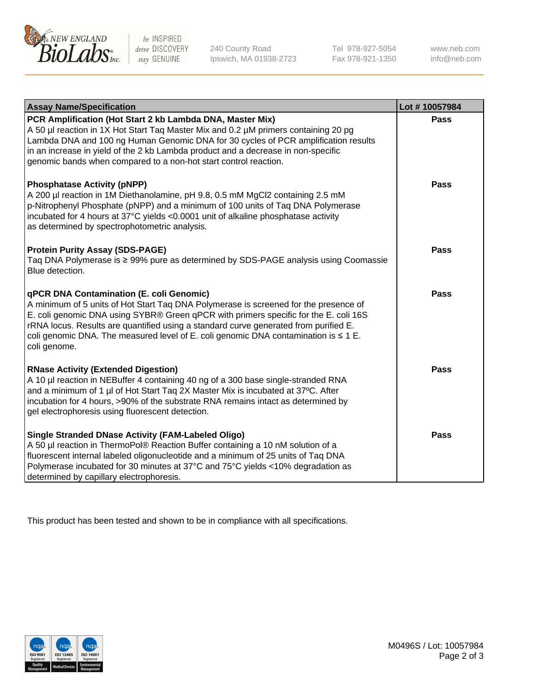

be INSPIRED drive DISCOVERY stay GENUINE

240 County Road Ipswich, MA 01938-2723 Tel 978-927-5054 Fax 978-921-1350 www.neb.com info@neb.com

| <b>Assay Name/Specification</b>                                                                                                                                                                                                                                                                                                                                                                                                     | Lot #10057984 |
|-------------------------------------------------------------------------------------------------------------------------------------------------------------------------------------------------------------------------------------------------------------------------------------------------------------------------------------------------------------------------------------------------------------------------------------|---------------|
| PCR Amplification (Hot Start 2 kb Lambda DNA, Master Mix)<br>A 50 µl reaction in 1X Hot Start Tag Master Mix and 0.2 µM primers containing 20 pg<br>Lambda DNA and 100 ng Human Genomic DNA for 30 cycles of PCR amplification results<br>in an increase in yield of the 2 kb Lambda product and a decrease in non-specific<br>genomic bands when compared to a non-hot start control reaction.                                     | <b>Pass</b>   |
| <b>Phosphatase Activity (pNPP)</b><br>A 200 µl reaction in 1M Diethanolamine, pH 9.8, 0.5 mM MgCl2 containing 2.5 mM<br>p-Nitrophenyl Phosphate (pNPP) and a minimum of 100 units of Taq DNA Polymerase<br>incubated for 4 hours at 37°C yields <0.0001 unit of alkaline phosphatase activity<br>as determined by spectrophotometric analysis.                                                                                      | <b>Pass</b>   |
| <b>Protein Purity Assay (SDS-PAGE)</b><br>Taq DNA Polymerase is ≥ 99% pure as determined by SDS-PAGE analysis using Coomassie<br>Blue detection.                                                                                                                                                                                                                                                                                    | <b>Pass</b>   |
| <b>qPCR DNA Contamination (E. coli Genomic)</b><br>A minimum of 5 units of Hot Start Tag DNA Polymerase is screened for the presence of<br>E. coli genomic DNA using SYBR® Green qPCR with primers specific for the E. coli 16S<br>rRNA locus. Results are quantified using a standard curve generated from purified E.<br>coli genomic DNA. The measured level of E. coli genomic DNA contamination is $\leq 1$ E.<br>coli genome. | <b>Pass</b>   |
| <b>RNase Activity (Extended Digestion)</b><br>A 10 µl reaction in NEBuffer 4 containing 40 ng of a 300 base single-stranded RNA<br>and a minimum of 1 µl of Hot Start Taq 2X Master Mix is incubated at 37°C. After<br>incubation for 4 hours, >90% of the substrate RNA remains intact as determined by<br>gel electrophoresis using fluorescent detection.                                                                        | <b>Pass</b>   |
| <b>Single Stranded DNase Activity (FAM-Labeled Oligo)</b><br>A 50 µl reaction in ThermoPol® Reaction Buffer containing a 10 nM solution of a<br>fluorescent internal labeled oligonucleotide and a minimum of 25 units of Taq DNA<br>Polymerase incubated for 30 minutes at 37°C and 75°C yields <10% degradation as<br>determined by capillary electrophoresis.                                                                    | Pass          |

This product has been tested and shown to be in compliance with all specifications.